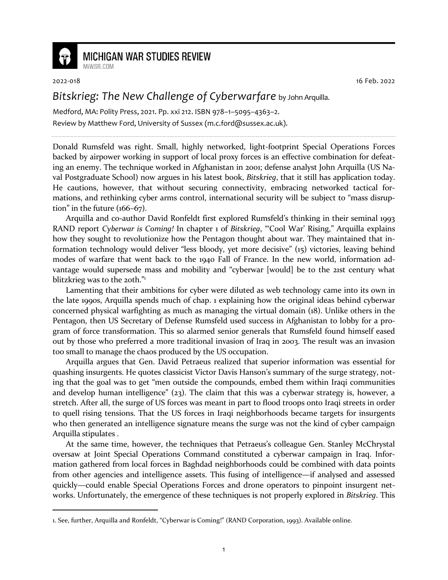

## **MICHIGAN WAR STUDIES REVIEW**

MiWSR COM

2022-018 16 Feb. 2022

## *Bitskrieg: The New Challenge of Cyberwarfare* by John Arquilla.

Medford, MA: Polity Press, 2021. Pp. xxi 212. ISBN 978–1–5095–4363–2. Review by Matthew Ford, University of Sussex (m.c.ford@sussex.ac.uk).

Donald Rumsfeld was right. Small, highly networked, light-footprint Special Operations Forces backed by airpower working in support of local proxy forces is an effective combination for defeating an enemy. The technique worked in Afghanistan in 2001; defense analyst John Arquilla (US Naval Postgraduate School) now argues in his latest book, *Bitskrieg*, that it still has application today. He cautions, however, that without securing connectivity, embracing networked tactical formations, and rethinking cyber arms control, international security will be subject to "mass disruption" in the future (166–67).

Arquilla and co-author David Ronfeldt first explored Rumsfeld's thinking in their seminal 1993 RAND report *Cyberwar is Coming!* In chapter 1 of *Bitskrieg*, "'Cool War' Rising," Arquilla explains how they sought to revolutionize how the Pentagon thought about war. They maintained that information technology would deliver "less bloody, yet more decisive" (15) victories, leaving behind modes of warfare that went back to the 1940 Fall of France. In the new world, information advantage would supersede mass and mobility and "cyberwar [would] be to the 21st century what blitzkrieg was to the 20th."<sup>1</sup>

Lamenting that their ambitions for cyber were diluted as web technology came into its own in the late 1990s, Arquilla spends much of chap. 1 explaining how the original ideas behind cyberwar concerned physical warfighting as much as managing the virtual domain (18). Unlike others in the Pentagon, then US Secretary of Defense Rumsfeld used success in Afghanistan to lobby for a program of force transformation. This so alarmed senior generals that Rumsfeld found himself eased out by those who preferred a more traditional invasion of Iraq in 2003. The result was an invasion too small to manage the chaos produced by the US occupation.

Arquilla argues that Gen. David Petraeus realized that superior information was essential for quashing insurgents. He quotes classicist Victor Davis Hanson's summary of the surge strategy, noting that the goal was to get "men outside the compounds, embed them within Iraqi communities and develop human intelligence"  $(23)$ . The claim that this was a cyberwar strategy is, however, a stretch. After all, the surge of US forces was meant in part to flood troops onto Iraqi streets in order to quell rising tensions. That the US forces in Iraqi neighborhoods became targets for insurgents who then generated an intelligence signature means the surge was not the kind of cyber campaign Arquilla stipulates .

At the same time, however, the techniques that Petraeus's colleague Gen. Stanley McChrystal oversaw at Joint Special Operations Command constituted a cyberwar campaign in Iraq. Information gathered from local forces in Baghdad neighborhoods could be combined with data points from other agencies and intelligence assets. This fusing of intelligence—if analysed and assessed quickly—could enable Special Operations Forces and drone operators to pinpoint insurgent networks. Unfortunately, the emergence of these techniques is not properly explored in *Bitskrieg*. This

<sup>1.</sup> See, further, Arquilla and Ronfeldt, "Cyberwar is Coming!" (RAND Corporation, 1993). Available online.